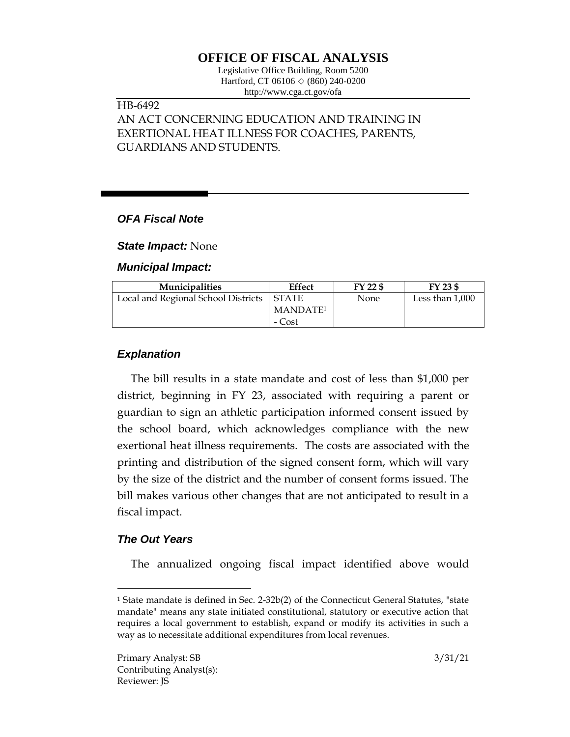# **OFFICE OF FISCAL ANALYSIS**

Legislative Office Building, Room 5200 Hartford, CT 06106 ◇ (860) 240-0200 http://www.cga.ct.gov/ofa

## HB-6492

AN ACT CONCERNING EDUCATION AND TRAINING IN EXERTIONAL HEAT ILLNESS FOR COACHES, PARENTS, GUARDIANS AND STUDENTS.

#### *OFA Fiscal Note*

*State Impact:* None

*Municipal Impact:*

| <b>Municipalities</b>               | <b>Effect</b>        | FY 22 \$ | FY 23 \$          |
|-------------------------------------|----------------------|----------|-------------------|
| Local and Regional School Districts | <b>STATE</b>         | None     | Less than $1,000$ |
|                                     | MANDATE <sup>1</sup> |          |                   |
|                                     | - Cost               |          |                   |

### *Explanation*

The bill results in a state mandate and cost of less than \$1,000 per district, beginning in FY 23, associated with requiring a parent or guardian to sign an athletic participation informed consent issued by the school board, which acknowledges compliance with the new exertional heat illness requirements. The costs are associated with the printing and distribution of the signed consent form, which will vary by the size of the district and the number of consent forms issued. The bill makes various other changes that are not anticipated to result in a fiscal impact.

### *The Out Years*

 $\overline{a}$ 

The annualized ongoing fiscal impact identified above would

<sup>1</sup> State mandate is defined in Sec. 2-32b(2) of the Connecticut General Statutes, "state mandate" means any state initiated constitutional, statutory or executive action that requires a local government to establish, expand or modify its activities in such a way as to necessitate additional expenditures from local revenues.